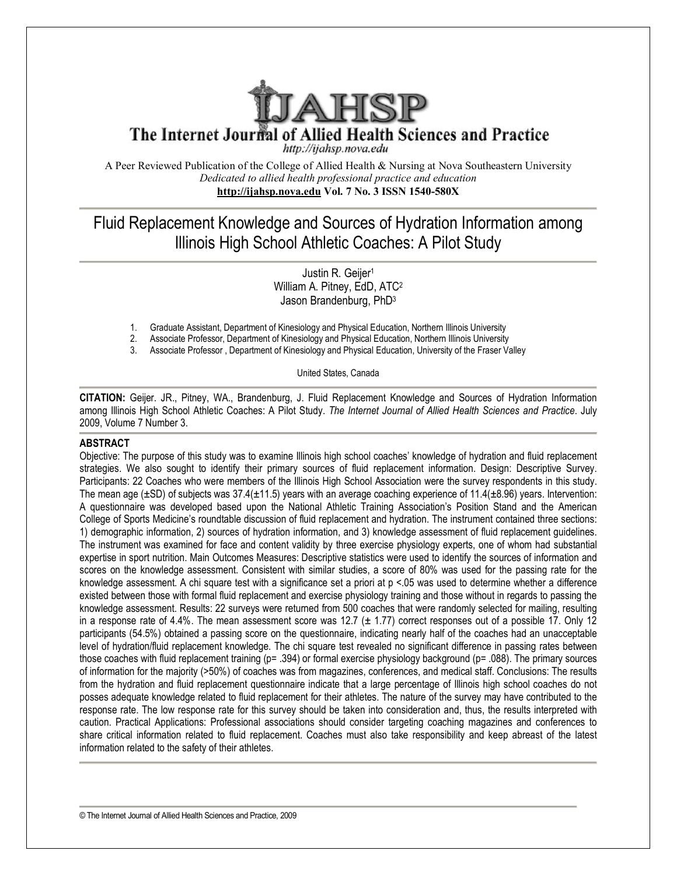

The Internet Journal of Allied Health Sciences and Practice

http://ijahsp.nova.edu

A Peer Reviewed Publication of the College of Allied Health & Nursing at Nova Southeastern University *Dedicated to allied health professional practice and education* **<http://ijahsp.nova.edu> Vol. 7 No. 3 ISSN 1540-580X** 

# Fluid Replacement Knowledge and Sources of Hydration Information among Illinois High School Athletic Coaches: A Pilot Study

Justin R. Geijer<sup>1</sup> William A. Pitney, EdD, ATC<sup>2</sup> Jason Brandenburg, PhD<sup>3</sup>

- 1. Graduate Assistant, Department of Kinesiology and Physical Education, Northern Illinois University
- 2. Associate Professor, Department of Kinesiology and Physical Education, Northern Illinois University
- Associate Professor, Department of Kinesiology and Physical Education, University of the Fraser Valley

United States, Canada

**CITATION:** Geijer. JR., Pitney, WA., Brandenburg, J. Fluid Replacement Knowledge and Sources of Hydration Information among Illinois High School Athletic Coaches: A Pilot Study. *The Internet Journal of Allied Health Sciences and Practice*. July 2009, Volume 7 Number 3.

# **ABSTRACT**

Objective: The purpose of this study was to examine Illinois high school coaches' knowledge of hydration and fluid replacement strategies. We also sought to identify their primary sources of fluid replacement information. Design: Descriptive Survey. Participants: 22 Coaches who were members of the Illinois High School Association were the survey respondents in this study. The mean age  $(\pm SD)$  of subjects was 37.4( $\pm$ 11.5) years with an average coaching experience of 11.4( $\pm$ 8.96) years. Intervention: A questionnaire was developed based upon the National Athletic Training Association's Position Stand and the American College of Sports Medicine's roundtable discussion of fluid replacement and hydration. The instrument contained three sections: 1) demographic information, 2) sources of hydration information, and 3) knowledge assessment of fluid replacement guidelines. The instrument was examined for face and content validity by three exercise physiology experts, one of whom had substantial expertise in sport nutrition. Main Outcomes Measures: Descriptive statistics were used to identify the sources of information and scores on the knowledge assessment. Consistent with similar studies, a score of 80% was used for the passing rate for the knowledge assessment. A chi square test with a significance set a priori at  $p < 05$  was used to determine whether a difference existed between those with formal fluid replacement and exercise physiology training and those without in regards to passing the knowledge assessment. Results: 22 surveys were returned from 500 coaches that were randomly selected for mailing, resulting in a response rate of 4.4%. The mean assessment score was 12.7 ( $\pm$  1.77) correct responses out of a possible 17. Only 12 participants (54.5%) obtained a passing score on the questionnaire, indicating nearly half of the coaches had an unacceptable level of hydration/fluid replacement knowledge. The chi square test revealed no significant difference in passing rates between those coaches with fluid replacement training (p= .394) or formal exercise physiology background (p= .088). The primary sources of information for the majority (>50%) of coaches was from magazines, conferences, and medical staff. Conclusions: The results from the hydration and fluid replacement questionnaire indicate that a large percentage of Illinois high school coaches do not posses adequate knowledge related to fluid replacement for their athletes. The nature of the survey may have contributed to the response rate. The low response rate for this survey should be taken into consideration and, thus, the results interpreted with caution. Practical Applications: Professional associations should consider targeting coaching magazines and conferences to share critical information related to fluid replacement. Coaches must also take responsibility and keep abreast of the latest information related to the safety of their athletes.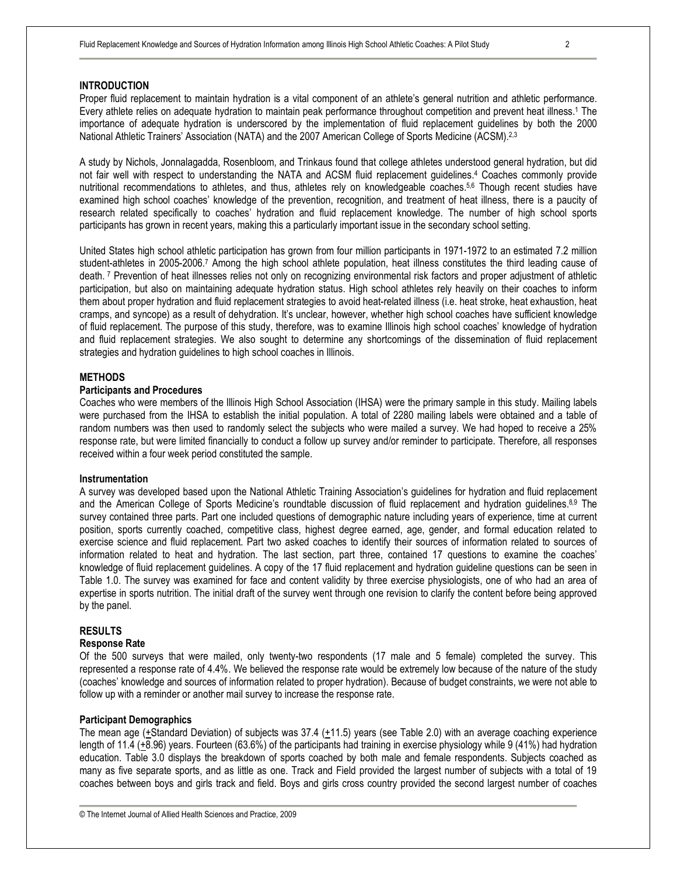# **INTRODUCTION**

Proper fluid replacement to maintain hydration is a vital component of an athlete's general nutrition and athletic performance. Every athlete relies on adequate hydration to maintain peak performance throughout competition and prevent heat illness.<sup>1</sup> The importance of adequate hydration is underscored by the implementation of fluid replacement guidelines by both the 2000 National Athletic Trainers' Association (NATA) and the 2007 American College of Sports Medicine (ACSM).<sup>2,3</sup>

A study by Nichols, Jonnalagadda, Rosenbloom, and Trinkaus found that college athletes understood general hydration, but did not fair well with respect to understanding the NATA and ACSM fluid replacement guidelines.<sup>4</sup> Coaches commonly provide nutritional recommendations to athletes, and thus, athletes rely on knowledgeable coaches.5,6 Though recent studies have examined high school coaches' knowledge of the prevention, recognition, and treatment of heat illness, there is a paucity of research related specifically to coaches' hydration and fluid replacement knowledge. The number of high school sports participants has grown in recent years, making this a particularly important issue in the secondary school setting.

United States high school athletic participation has grown from four million participants in 1971-1972 to an estimated 7.2 million student-athletes in 2005-2006.<sup>7</sup> Among the high school athlete population, heat illness constitutes the third leading cause of death.<sup>7</sup> Prevention of heat illnesses relies not only on recognizing environmental risk factors and proper adjustment of athletic participation, but also on maintaining adequate hydration status. High school athletes rely heavily on their coaches to inform them about proper hydration and fluid replacement strategies to avoid heat-related illness (i.e. heat stroke, heat exhaustion, heat cramps, and syncope) as a result of dehydration. It's unclear, however, whether high school coaches have sufficient knowledge of fluid replacement. The purpose of this study, therefore, was to examine Illinois high school coaches' knowledge of hydration and fluid replacement strategies. We also sought to determine any shortcomings of the dissemination of fluid replacement strategies and hydration guidelines to high school coaches in Illinois.

## **METHODS**

## **Participants and Procedures**

Coaches who were members of the Illinois High School Association (IHSA) were the primary sample in this study. Mailing labels were purchased from the IHSA to establish the initial population. A total of 2280 mailing labels were obtained and a table of random numbers was then used to randomly select the subjects who were mailed a survey. We had hoped to receive a 25% response rate, but were limited financially to conduct a follow up survey and/or reminder to participate. Therefore, all responses received within a four week period constituted the sample.

#### **Instrumentation**

A survey was developed based upon the National Athletic Training Association's guidelines for hydration and fluid replacement and the American College of Sports Medicine's roundtable discussion of fluid replacement and hydration guidelines.8,9 The survey contained three parts. Part one included questions of demographic nature including years of experience, time at current position, sports currently coached, competitive class, highest degree earned, age, gender, and formal education related to exercise science and fluid replacement. Part two asked coaches to identify their sources of information related to sources of information related to heat and hydration. The last section, part three, contained 17 questions to examine the coaches' knowledge of fluid replacement guidelines. A copy of the 17 fluid replacement and hydration guideline questions can be seen in Table 1.0. The survey was examined for face and content validity by three exercise physiologists, one of who had an area of expertise in sports nutrition. The initial draft of the survey went through one revision to clarify the content before being approved by the panel.

### **RESULTS**

### **Response Rate**

Of the 500 surveys that were mailed, only twenty-two respondents (17 male and 5 female) completed the survey. This represented a response rate of 4.4%. We believed the response rate would be extremely low because of the nature of the study (coaches' knowledge and sources of information related to proper hydration). Because of budget constraints, we were not able to follow up with a reminder or another mail survey to increase the response rate.

#### **Participant Demographics**

The mean age ( $\pm$ Standard Deviation) of subjects was 37.4 ( $\pm$ 11.5) years (see Table 2.0) with an average coaching experience length of 11.4 (+8.96) years. Fourteen (63.6%) of the participants had training in exercise physiology while 9 (41%) had hydration education. Table 3.0 displays the breakdown of sports coached by both male and female respondents. Subjects coached as many as five separate sports, and as little as one. Track and Field provided the largest number of subjects with a total of 19 coaches between boys and girls track and field. Boys and girls cross country provided the second largest number of coaches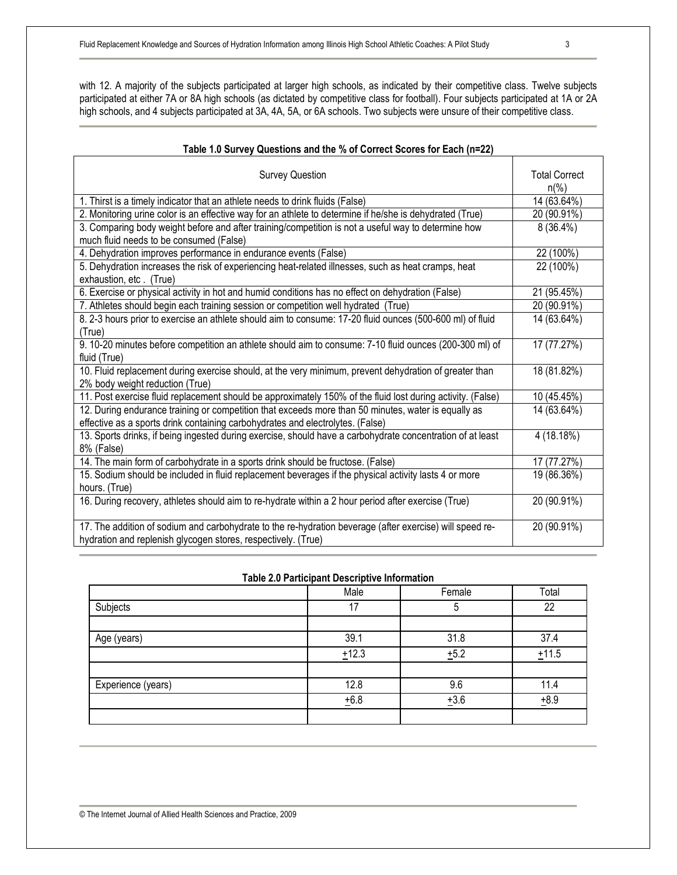with 12. A majority of the subjects participated at larger high schools, as indicated by their competitive class. Twelve subjects participated at either 7A or 8A high schools (as dictated by competitive class for football). Four subjects participated at 1A or 2A high schools, and 4 subjects participated at 3A, 4A, 5A, or 6A schools. Two subjects were unsure of their competitive class.

# **Table 1.0 Survey Questions and the % of Correct Scores for Each (n=22)**

| <b>Survey Question</b>                                                                                                                                                                | <b>Total Correct</b><br>$n\frac{9}{6}$ |
|---------------------------------------------------------------------------------------------------------------------------------------------------------------------------------------|----------------------------------------|
| 1. Thirst is a timely indicator that an athlete needs to drink fluids (False)                                                                                                         | 14 (63.64%)                            |
| 2. Monitoring urine color is an effective way for an athlete to determine if he/she is dehydrated (True)                                                                              | 20 (90.91%)                            |
| 3. Comparing body weight before and after training/competition is not a useful way to determine how<br>much fluid needs to be consumed (False)                                        | $8(36.4\%)$                            |
| 4. Dehydration improves performance in endurance events (False)                                                                                                                       | 22 (100%)                              |
| 5. Dehydration increases the risk of experiencing heat-related illnesses, such as heat cramps, heat<br>exhaustion, etc. (True)                                                        | 22 (100%)                              |
| 6. Exercise or physical activity in hot and humid conditions has no effect on dehydration (False)                                                                                     | 21 (95.45%)                            |
| 7. Athletes should begin each training session or competition well hydrated (True)                                                                                                    | 20 (90.91%)                            |
| 8. 2-3 hours prior to exercise an athlete should aim to consume: 17-20 fluid ounces (500-600 ml) of fluid<br>(True)                                                                   | 14 (63.64%)                            |
| 9. 10-20 minutes before competition an athlete should aim to consume: 7-10 fluid ounces (200-300 ml) of<br>fluid (True)                                                               | 17 (77.27%)                            |
| 10. Fluid replacement during exercise should, at the very minimum, prevent dehydration of greater than<br>2% body weight reduction (True)                                             | 18 (81.82%)                            |
| 11. Post exercise fluid replacement should be approximately 150% of the fluid lost during activity. (False)                                                                           | 10 (45.45%)                            |
| 12. During endurance training or competition that exceeds more than 50 minutes, water is equally as<br>effective as a sports drink containing carbohydrates and electrolytes. (False) | 14 (63.64%)                            |
| 13. Sports drinks, if being ingested during exercise, should have a carbohydrate concentration of at least<br>8% (False)                                                              | 4 (18.18%)                             |
| 14. The main form of carbohydrate in a sports drink should be fructose. (False)                                                                                                       | 17 (77.27%)                            |
| 15. Sodium should be included in fluid replacement beverages if the physical activity lasts 4 or more<br>hours. (True)                                                                | 19 (86.36%)                            |
| 16. During recovery, athletes should aim to re-hydrate within a 2 hour period after exercise (True)                                                                                   | 20 (90.91%)                            |
| 17. The addition of sodium and carbohydrate to the re-hydration beverage (after exercise) will speed re-<br>hydration and replenish glycogen stores, respectively. (True)             | 20 (90.91%)                            |

# **Table 2.0 Participant Descriptive Information**

|                    | Male  | Female | Total  |
|--------------------|-------|--------|--------|
| Subjects           | 17    |        | 22     |
|                    |       |        |        |
| Age (years)        | 39.1  | 31.8   | 37.4   |
|                    | ±12.3 | ±5.2   | ±11.5  |
|                    |       |        |        |
| Experience (years) | 12.8  | 9.6    | 11.4   |
|                    | ±6.8  | $+3.6$ | $+8.9$ |
|                    |       |        |        |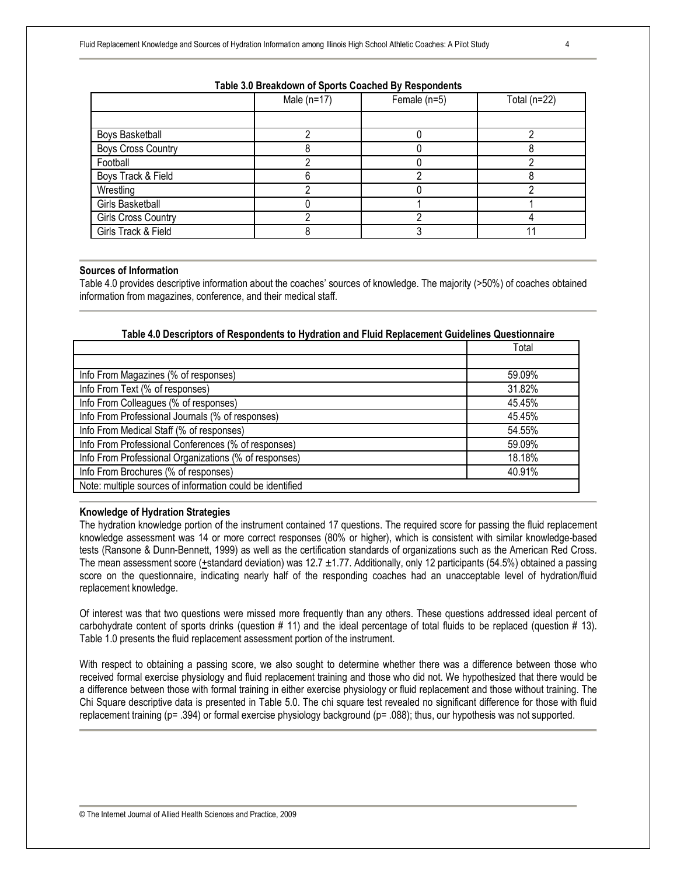## **Table 3.0 Breakdown of Sports Coached By Respondents**

|                            | Male $(n=17)$ | Female (n=5) | Total ( $n=22$ ) |
|----------------------------|---------------|--------------|------------------|
|                            |               |              |                  |
| Boys Basketball            |               |              |                  |
| <b>Boys Cross Country</b>  |               |              |                  |
| Football                   |               |              |                  |
| Boys Track & Field         |               |              |                  |
| Wrestling                  |               |              |                  |
| <b>Girls Basketball</b>    |               |              |                  |
| <b>Girls Cross Country</b> |               |              |                  |
| Girls Track & Field        |               |              |                  |

# **Sources of Information**

Table 4.0 provides descriptive information about the coaches' sources of knowledge. The majority (>50%) of coaches obtained information from magazines, conference, and their medical staff.

# **Table 4.0 Descriptors of Respondents to Hydration and Fluid Replacement Guidelines Questionnaire**

| Info From Magazines (% of responses)<br>59.09%<br>Info From Text (% of responses)<br>31.82%<br>Info From Colleagues (% of responses)<br>45.45%<br>Info From Professional Journals (% of responses)<br>45.45%<br>Info From Medical Staff (% of responses)<br>54.55%<br>Info From Professional Conferences (% of responses)<br>59.09%<br>Info From Professional Organizations (% of responses)<br>18.18%<br>Info From Brochures (% of responses)<br>40.91% |                                                           | Total |
|----------------------------------------------------------------------------------------------------------------------------------------------------------------------------------------------------------------------------------------------------------------------------------------------------------------------------------------------------------------------------------------------------------------------------------------------------------|-----------------------------------------------------------|-------|
|                                                                                                                                                                                                                                                                                                                                                                                                                                                          |                                                           |       |
|                                                                                                                                                                                                                                                                                                                                                                                                                                                          |                                                           |       |
|                                                                                                                                                                                                                                                                                                                                                                                                                                                          |                                                           |       |
|                                                                                                                                                                                                                                                                                                                                                                                                                                                          |                                                           |       |
|                                                                                                                                                                                                                                                                                                                                                                                                                                                          |                                                           |       |
|                                                                                                                                                                                                                                                                                                                                                                                                                                                          |                                                           |       |
|                                                                                                                                                                                                                                                                                                                                                                                                                                                          |                                                           |       |
|                                                                                                                                                                                                                                                                                                                                                                                                                                                          |                                                           |       |
|                                                                                                                                                                                                                                                                                                                                                                                                                                                          |                                                           |       |
|                                                                                                                                                                                                                                                                                                                                                                                                                                                          | Note: multiple sources of information could be identified |       |

#### **Knowledge of Hydration Strategies**

The hydration knowledge portion of the instrument contained 17 questions. The required score for passing the fluid replacement knowledge assessment was 14 or more correct responses (80% or higher), which is consistent with similar knowledge-based tests (Ransone & Dunn-Bennett, 1999) as well as the certification standards of organizations such as the American Red Cross. The mean assessment score (+standard deviation) was 12.7  $\pm$ 1.77. Additionally, only 12 participants (54.5%) obtained a passing score on the questionnaire, indicating nearly half of the responding coaches had an unacceptable level of hydration/fluid replacement knowledge.

Of interest was that two questions were missed more frequently than any others. These questions addressed ideal percent of carbohydrate content of sports drinks (question # 11) and the ideal percentage of total fluids to be replaced (question # 13). Table 1.0 presents the fluid replacement assessment portion of the instrument.

With respect to obtaining a passing score, we also sought to determine whether there was a difference between those who received formal exercise physiology and fluid replacement training and those who did not. We hypothesized that there would be a difference between those with formal training in either exercise physiology or fluid replacement and those without training. The Chi Square descriptive data is presented in Table 5.0. The chi square test revealed no significant difference for those with fluid replacement training (p= .394) or formal exercise physiology background (p= .088); thus, our hypothesis was not supported.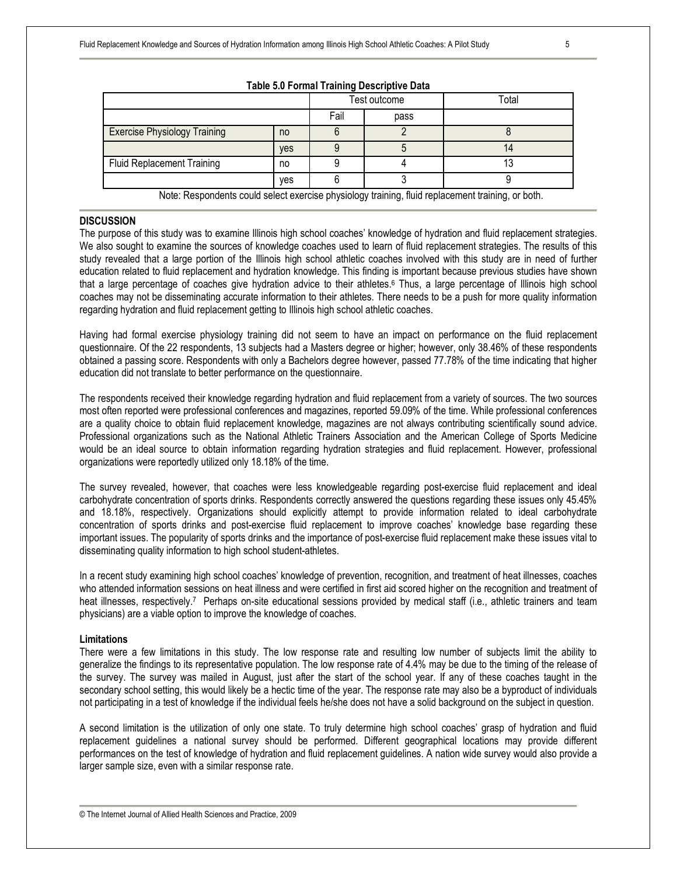|                                                                                                   |            |              | <b>Table 0.0 L OFfinal Trailing Descriptive Data</b> |       |
|---------------------------------------------------------------------------------------------------|------------|--------------|------------------------------------------------------|-------|
|                                                                                                   |            | Test outcome |                                                      | Total |
|                                                                                                   |            | Fail         | pass                                                 |       |
| <b>Exercise Physiology Training</b>                                                               | no         |              |                                                      |       |
|                                                                                                   | <b>ves</b> |              |                                                      |       |
| <b>Fluid Replacement Training</b>                                                                 | no         |              |                                                      |       |
|                                                                                                   | yes        |              |                                                      |       |
| Note: Respondents could select exercise physiology training, fluid replacement training, or both. |            |              |                                                      |       |

**Table 5.0 Formal Training Descriptive Data** 

## **DISCUSSION**

The purpose of this study was to examine Illinois high school coaches' knowledge of hydration and fluid replacement strategies. We also sought to examine the sources of knowledge coaches used to learn of fluid replacement strategies. The results of this study revealed that a large portion of the Illinois high school athletic coaches involved with this study are in need of further education related to fluid replacement and hydration knowledge. This finding is important because previous studies have shown that a large percentage of coaches give hydration advice to their athletes.<sup>6</sup> Thus, a large percentage of Illinois high school coaches may not be disseminating accurate information to their athletes. There needs to be a push for more quality information regarding hydration and fluid replacement getting to Illinois high school athletic coaches.

Having had formal exercise physiology training did not seem to have an impact on performance on the fluid replacement questionnaire. Of the 22 respondents, 13 subjects had a Masters degree or higher; however, only 38.46% of these respondents obtained a passing score. Respondents with only a Bachelors degree however, passed 77.78% of the time indicating that higher education did not translate to better performance on the questionnaire.

The respondents received their knowledge regarding hydration and fluid replacement from a variety of sources. The two sources most often reported were professional conferences and magazines, reported 59.09% of the time. While professional conferences are a quality choice to obtain fluid replacement knowledge, magazines are not always contributing scientifically sound advice. Professional organizations such as the National Athletic Trainers Association and the American College of Sports Medicine would be an ideal source to obtain information regarding hydration strategies and fluid replacement. However, professional organizations were reportedly utilized only 18.18% of the time.

The survey revealed, however, that coaches were less knowledgeable regarding post-exercise fluid replacement and ideal carbohydrate concentration of sports drinks. Respondents correctly answered the questions regarding these issues only 45.45% and 18.18%, respectively. Organizations should explicitly attempt to provide information related to ideal carbohydrate concentration of sports drinks and post-exercise fluid replacement to improve coaches' knowledge base regarding these important issues. The popularity of sports drinks and the importance of post-exercise fluid replacement make these issues vital to disseminating quality information to high school student-athletes.

In a recent study examining high school coaches' knowledge of prevention, recognition, and treatment of heat illnesses, coaches who attended information sessions on heat illness and were certified in first aid scored higher on the recognition and treatment of heat illnesses, respectively.<sup>7</sup> Perhaps on-site educational sessions provided by medical staff (i.e., athletic trainers and team physicians) are a viable option to improve the knowledge of coaches.

#### **Limitations**

There were a few limitations in this study. The low response rate and resulting low number of subjects limit the ability to generalize the findings to its representative population. The low response rate of 4.4% may be due to the timing of the release of the survey. The survey was mailed in August, just after the start of the school year. If any of these coaches taught in the secondary school setting, this would likely be a hectic time of the year. The response rate may also be a byproduct of individuals not participating in a test of knowledge if the individual feels he/she does not have a solid background on the subject in question.

A second limitation is the utilization of only one state. To truly determine high school coaches' grasp of hydration and fluid replacement guidelines a national survey should be performed. Different geographical locations may provide different performances on the test of knowledge of hydration and fluid replacement guidelines. A nation wide survey would also provide a larger sample size, even with a similar response rate.